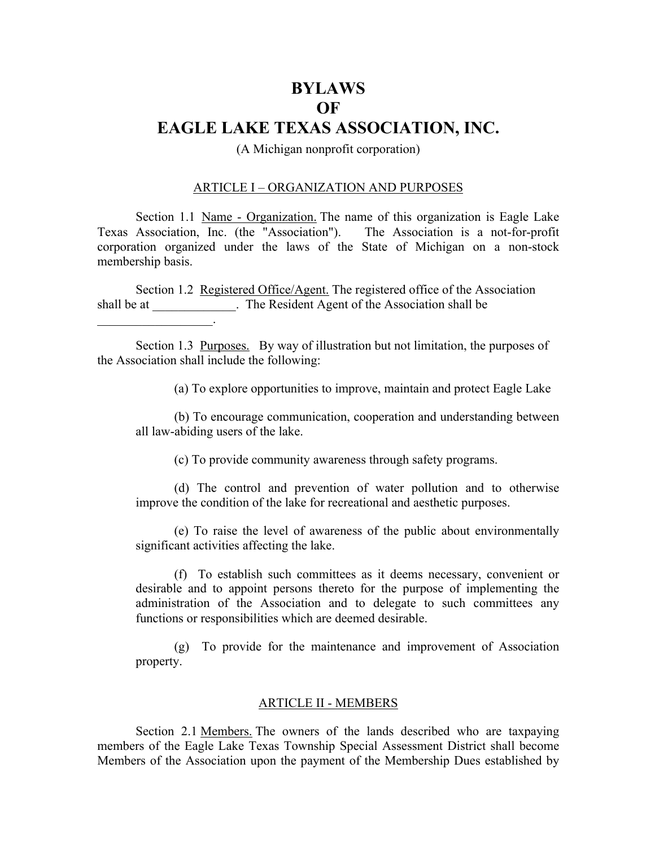## **BYLAWS OF EAGLE LAKE TEXAS ASSOCIATION, INC.**

(A Michigan nonprofit corporation)

#### ARTICLE I – ORGANIZATION AND PURPOSES

Section 1.1 Name - Organization. The name of this organization is Eagle Lake Texas Association, Inc. (the "Association"). The Association is a not-for-profit corporation organized under the laws of the State of Michigan on a non-stock membership basis.

Section 1.2 Registered Office/Agent. The registered office of the Association shall be at \_\_\_\_\_\_\_\_\_\_\_\_. The Resident Agent of the Association shall be

 $\mathcal{L}=\mathcal{L}^{\mathcal{L}}$  , where  $\mathcal{L}^{\mathcal{L}}$  , we have the set of  $\mathcal{L}^{\mathcal{L}}$ 

Section 1.3 <u>Purposes.</u> By way of illustration but not limitation, the purposes of the Association shall include the following:

(a) To explore opportunities to improve, maintain and protect Eagle Lake

(b) To encourage communication, cooperation and understanding between all law-abiding users of the lake.

(c) To provide community awareness through safety programs.

(d) The control and prevention of water pollution and to otherwise improve the condition of the lake for recreational and aesthetic purposes.

(e) To raise the level of awareness of the public about environmentally significant activities affecting the lake.

(f) To establish such committees as it deems necessary, convenient or desirable and to appoint persons thereto for the purpose of implementing the administration of the Association and to delegate to such committees any functions or responsibilities which are deemed desirable.

(g) To provide for the maintenance and improvement of Association property.

#### ARTICLE II - MEMBERS

Section 2.1 Members. The owners of the lands described who are taxpaying members of the Eagle Lake Texas Township Special Assessment District shall become Members of the Association upon the payment of the Membership Dues established by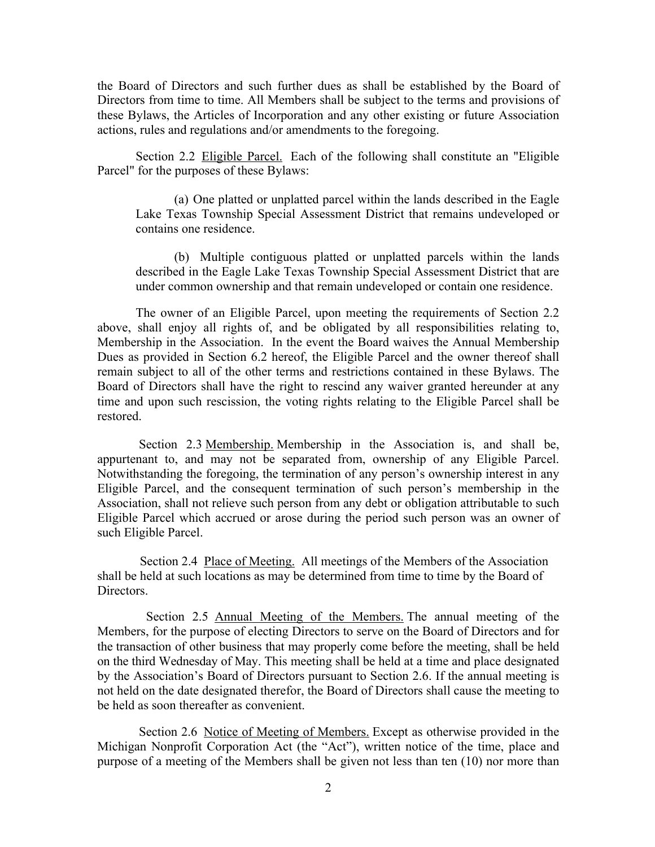the Board of Directors and such further dues as shall be established by the Board of Directors from time to time. All Members shall be subject to the terms and provisions of these Bylaws, the Articles of Incorporation and any other existing or future Association actions, rules and regulations and/or amendments to the foregoing.

Section 2.2 Eligible Parcel. Each of the following shall constitute an "Eligible Parcel" for the purposes of these Bylaws:

(a) One platted or unplatted parcel within the lands described in the Eagle Lake Texas Township Special Assessment District that remains undeveloped or contains one residence.

(b) Multiple contiguous platted or unplatted parcels within the lands described in the Eagle Lake Texas Township Special Assessment District that are under common ownership and that remain undeveloped or contain one residence.

The owner of an Eligible Parcel, upon meeting the requirements of Section 2.2 above, shall enjoy all rights of, and be obligated by all responsibilities relating to, Membership in the Association. In the event the Board waives the Annual Membership Dues as provided in Section 6.2 hereof, the Eligible Parcel and the owner thereof shall remain subject to all of the other terms and restrictions contained in these Bylaws. The Board of Directors shall have the right to rescind any waiver granted hereunder at any time and upon such rescission, the voting rights relating to the Eligible Parcel shall be restored.

Section 2.3 Membership. Membership in the Association is, and shall be, appurtenant to, and may not be separated from, ownership of any Eligible Parcel. Notwithstanding the foregoing, the termination of any person's ownership interest in any Eligible Parcel, and the consequent termination of such person's membership in the Association, shall not relieve such person from any debt or obligation attributable to such Eligible Parcel which accrued or arose during the period such person was an owner of such Eligible Parcel.

Section 2.4 Place of Meeting. All meetings of the Members of the Association shall be held at such locations as may be determined from time to time by the Board of Directors.

Section 2.5 Annual Meeting of the Members. The annual meeting of the Members, for the purpose of electing Directors to serve on the Board of Directors and for the transaction of other business that may properly come before the meeting, shall be held on the third Wednesday of May. This meeting shall be held at a time and place designated by the Association's Board of Directors pursuant to Section 2.6. If the annual meeting is not held on the date designated therefor, the Board of Directors shall cause the meeting to be held as soon thereafter as convenient.

Section 2.6 Notice of Meeting of Members. Except as otherwise provided in the Michigan Nonprofit Corporation Act (the "Act"), written notice of the time, place and purpose of a meeting of the Members shall be given not less than ten (10) nor more than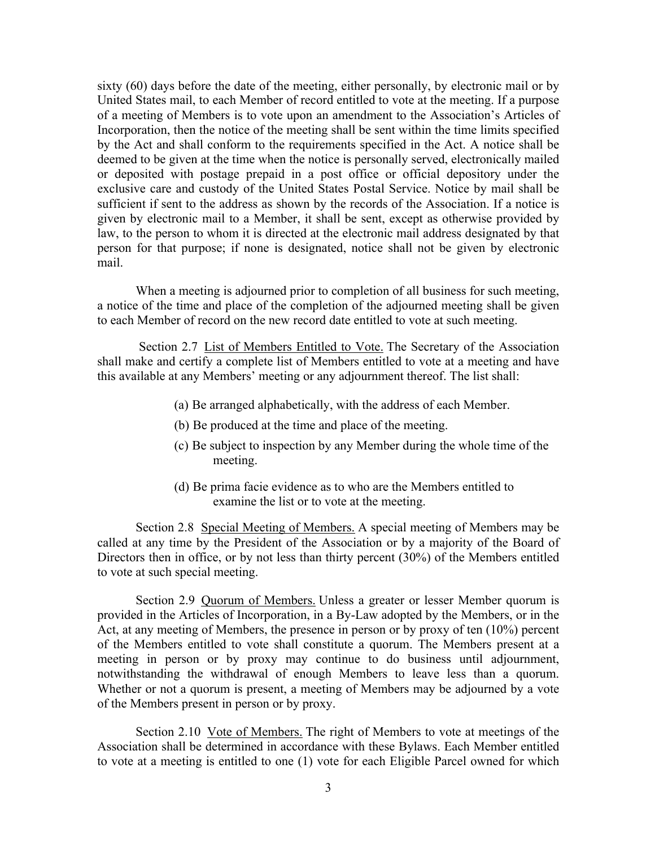sixty (60) days before the date of the meeting, either personally, by electronic mail or by United States mail, to each Member of record entitled to vote at the meeting. If a purpose of a meeting of Members is to vote upon an amendment to the Association's Articles of Incorporation, then the notice of the meeting shall be sent within the time limits specified by the Act and shall conform to the requirements specified in the Act. A notice shall be deemed to be given at the time when the notice is personally served, electronically mailed or deposited with postage prepaid in a post office or official depository under the exclusive care and custody of the United States Postal Service. Notice by mail shall be sufficient if sent to the address as shown by the records of the Association. If a notice is given by electronic mail to a Member, it shall be sent, except as otherwise provided by law, to the person to whom it is directed at the electronic mail address designated by that person for that purpose; if none is designated, notice shall not be given by electronic mail.

When a meeting is adjourned prior to completion of all business for such meeting, a notice of the time and place of the completion of the adjourned meeting shall be given to each Member of record on the new record date entitled to vote at such meeting.

Section 2.7 List of Members Entitled to Vote. The Secretary of the Association shall make and certify a complete list of Members entitled to vote at a meeting and have this available at any Members' meeting or any adjournment thereof. The list shall:

- (a) Be arranged alphabetically, with the address of each Member.
- (b) Be produced at the time and place of the meeting.
- (c) Be subject to inspection by any Member during the whole time of the meeting.
- (d) Be prima facie evidence as to who are the Members entitled to examine the list or to vote at the meeting.

Section 2.8 Special Meeting of Members. A special meeting of Members may be called at any time by the President of the Association or by a majority of the Board of Directors then in office, or by not less than thirty percent (30%) of the Members entitled to vote at such special meeting.

Section 2.9 Quorum of Members. Unless a greater or lesser Member quorum is provided in the Articles of Incorporation, in a By-Law adopted by the Members, or in the Act, at any meeting of Members, the presence in person or by proxy of ten (10%) percent of the Members entitled to vote shall constitute a quorum. The Members present at a meeting in person or by proxy may continue to do business until adjournment, notwithstanding the withdrawal of enough Members to leave less than a quorum. Whether or not a quorum is present, a meeting of Members may be adjourned by a vote of the Members present in person or by proxy.

Section 2.10 Vote of Members. The right of Members to vote at meetings of the Association shall be determined in accordance with these Bylaws. Each Member entitled to vote at a meeting is entitled to one (1) vote for each Eligible Parcel owned for which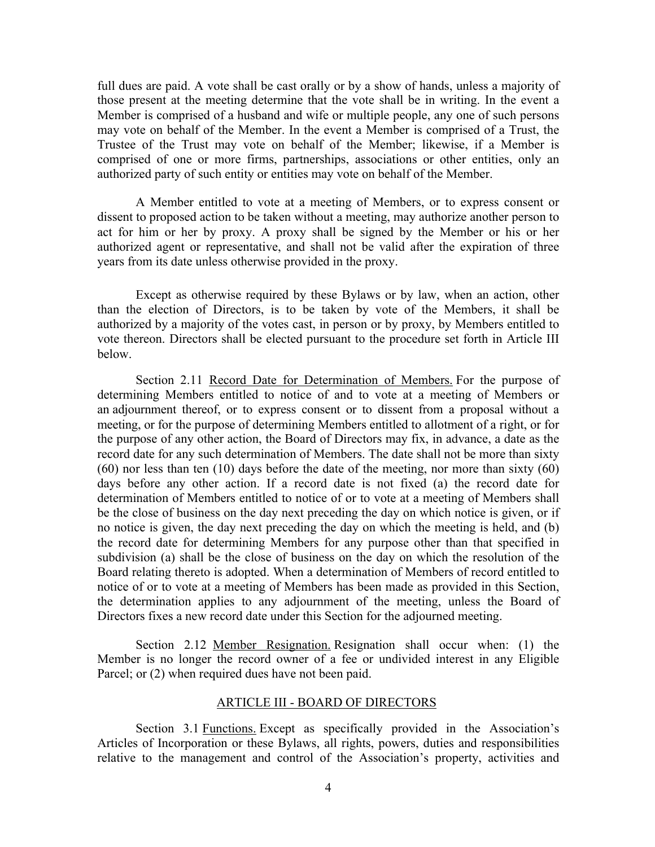full dues are paid. A vote shall be cast orally or by a show of hands, unless a majority of those present at the meeting determine that the vote shall be in writing. In the event a Member is comprised of a husband and wife or multiple people, any one of such persons may vote on behalf of the Member. In the event a Member is comprised of a Trust, the Trustee of the Trust may vote on behalf of the Member; likewise, if a Member is comprised of one or more firms, partnerships, associations or other entities, only an authorized party of such entity or entities may vote on behalf of the Member.

A Member entitled to vote at a meeting of Members, or to express consent or dissent to proposed action to be taken without a meeting, may authorize another person to act for him or her by proxy. A proxy shall be signed by the Member or his or her authorized agent or representative, and shall not be valid after the expiration of three years from its date unless otherwise provided in the proxy.

Except as otherwise required by these Bylaws or by law, when an action, other than the election of Directors, is to be taken by vote of the Members, it shall be authorized by a majority of the votes cast, in person or by proxy, by Members entitled to vote thereon. Directors shall be elected pursuant to the procedure set forth in Article III below.

Section 2.11 Record Date for Determination of Members. For the purpose of determining Members entitled to notice of and to vote at a meeting of Members or an adjournment thereof, or to express consent or to dissent from a proposal without a meeting, or for the purpose of determining Members entitled to allotment of a right, or for the purpose of any other action, the Board of Directors may fix, in advance, a date as the record date for any such determination of Members. The date shall not be more than sixty (60) nor less than ten (10) days before the date of the meeting, nor more than sixty (60) days before any other action. If a record date is not fixed (a) the record date for determination of Members entitled to notice of or to vote at a meeting of Members shall be the close of business on the day next preceding the day on which notice is given, or if no notice is given, the day next preceding the day on which the meeting is held, and (b) the record date for determining Members for any purpose other than that specified in subdivision (a) shall be the close of business on the day on which the resolution of the Board relating thereto is adopted. When a determination of Members of record entitled to notice of or to vote at a meeting of Members has been made as provided in this Section, the determination applies to any adjournment of the meeting, unless the Board of Directors fixes a new record date under this Section for the adjourned meeting.

Section 2.12 Member Resignation. Resignation shall occur when: (1) the Member is no longer the record owner of a fee or undivided interest in any Eligible Parcel; or  $(2)$  when required dues have not been paid.

#### ARTICLE III - BOARD OF DIRECTORS

Section 3.1 Functions. Except as specifically provided in the Association's Articles of Incorporation or these Bylaws, all rights, powers, duties and responsibilities relative to the management and control of the Association's property, activities and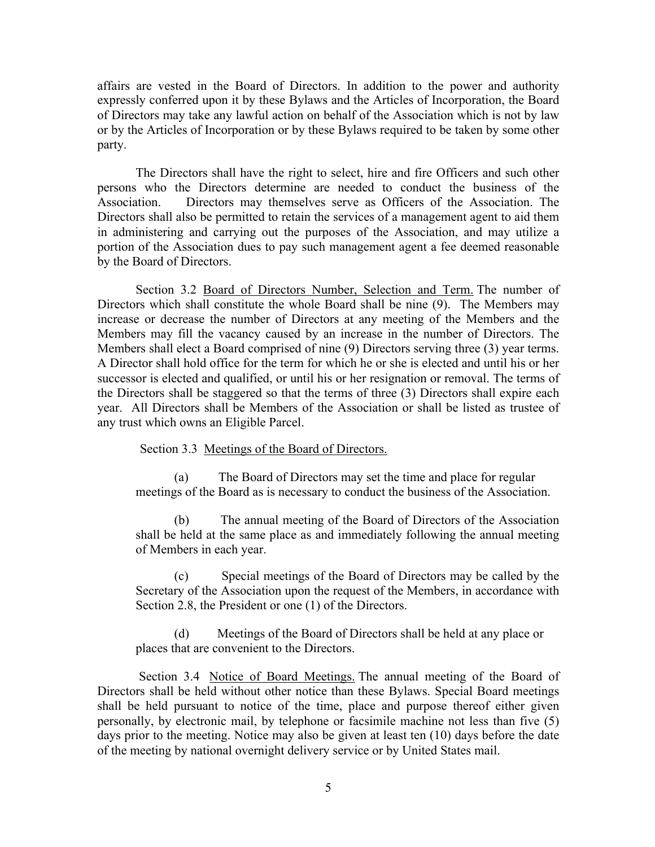affairs are vested in the Board of Directors. In addition to the power and authority expressly conferred upon it by these Bylaws and the Articles of Incorporation, the Board of Directors may take any lawful action on behalf of the Association which is not by law or by the Articles of Incorporation or by these Bylaws required to be taken by some other party.

The Directors shall have the right to select, hire and fire Officers and such other persons who the Directors determine are needed to conduct the business of the Association. Directors may themselves serve as Officers of the Association. The Directors shall also be permitted to retain the services of a management agent to aid them in administering and carrying out the purposes of the Association, and may utilize a portion of the Association dues to pay such management agent a fee deemed reasonable by the Board of Directors.

Section 3.2 Board of Directors Number, Selection and Term. The number of Directors which shall constitute the whole Board shall be nine (9). The Members may increase or decrease the number of Directors at any meeting of the Members and the Members may fill the vacancy caused by an increase in the number of Directors. The Members shall elect a Board comprised of nine (9) Directors serving three (3) year terms. A Director shall hold office for the term for which he or she is elected and until his or her successor is elected and qualified, or until his or her resignation or removal. The terms of the Directors shall be staggered so that the terms of three (3) Directors shall expire each year. All Directors shall be Members of the Association or shall be listed as trustee of any trust which owns an Eligible Parcel.

Section 3.3 Meetings of the Board of Directors.

(a) The Board of Directors may set the time and place for regular meetings of the Board as is necessary to conduct the business of the Association.

(b) The annual meeting of the Board of Directors of the Association shall be held at the same place as and immediately following the annual meeting of Members in each year.

(c) Special meetings of the Board of Directors may be called by the Secretary of the Association upon the request of the Members, in accordance with Section 2.8, the President or one (1) of the Directors.

(d) Meetings of the Board of Directors shall be held at any place or places that are convenient to the Directors.

Section 3.4 Notice of Board Meetings. The annual meeting of the Board of Directors shall be held without other notice than these Bylaws. Special Board meetings shall be held pursuant to notice of the time, place and purpose thereof either given personally, by electronic mail, by telephone or facsimile machine not less than five (5) days prior to the meeting. Notice may also be given at least ten (10) days before the date of the meeting by national overnight delivery service or by United States mail.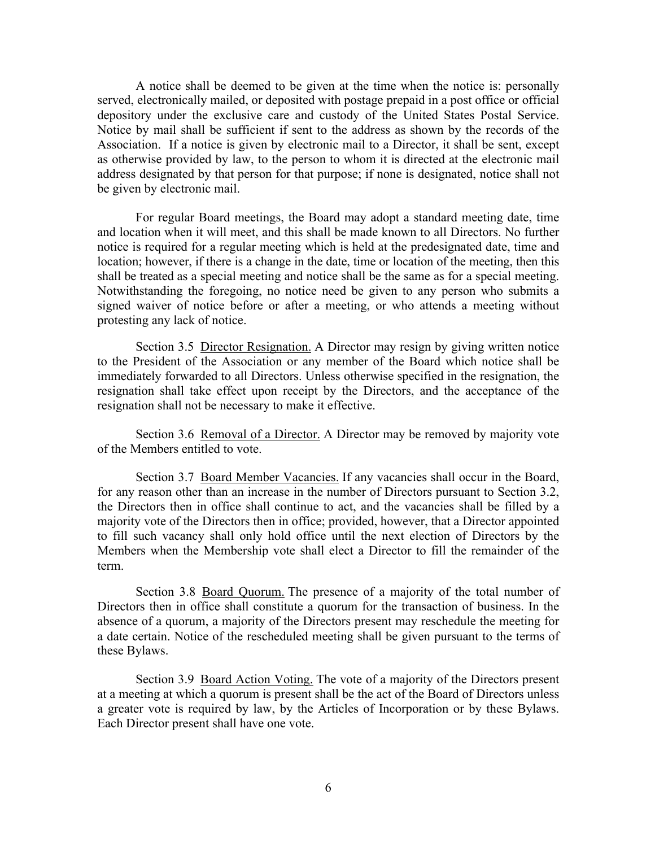A notice shall be deemed to be given at the time when the notice is: personally served, electronically mailed, or deposited with postage prepaid in a post office or official depository under the exclusive care and custody of the United States Postal Service. Notice by mail shall be sufficient if sent to the address as shown by the records of the Association. If a notice is given by electronic mail to a Director, it shall be sent, except as otherwise provided by law, to the person to whom it is directed at the electronic mail address designated by that person for that purpose; if none is designated, notice shall not be given by electronic mail.

For regular Board meetings, the Board may adopt a standard meeting date, time and location when it will meet, and this shall be made known to all Directors. No further notice is required for a regular meeting which is held at the predesignated date, time and location; however, if there is a change in the date, time or location of the meeting, then this shall be treated as a special meeting and notice shall be the same as for a special meeting. Notwithstanding the foregoing, no notice need be given to any person who submits a signed waiver of notice before or after a meeting, or who attends a meeting without protesting any lack of notice.

Section 3.5 Director Resignation. A Director may resign by giving written notice to the President of the Association or any member of the Board which notice shall be immediately forwarded to all Directors. Unless otherwise specified in the resignation, the resignation shall take effect upon receipt by the Directors, and the acceptance of the resignation shall not be necessary to make it effective.

Section 3.6 <u>Removal of a Director.</u> A Director may be removed by majority vote of the Members entitled to vote.

Section 3.7 Board Member Vacancies. If any vacancies shall occur in the Board, for any reason other than an increase in the number of Directors pursuant to Section 3.2, the Directors then in office shall continue to act, and the vacancies shall be filled by a majority vote of the Directors then in office; provided, however, that a Director appointed to fill such vacancy shall only hold office until the next election of Directors by the Members when the Membership vote shall elect a Director to fill the remainder of the term.

Section 3.8 Board Quorum. The presence of a majority of the total number of Directors then in office shall constitute a quorum for the transaction of business. In the absence of a quorum, a majority of the Directors present may reschedule the meeting for a date certain. Notice of the rescheduled meeting shall be given pursuant to the terms of these Bylaws.

Section 3.9 Board Action Voting. The vote of a majority of the Directors present at a meeting at which a quorum is present shall be the act of the Board of Directors unless a greater vote is required by law, by the Articles of Incorporation or by these Bylaws. Each Director present shall have one vote.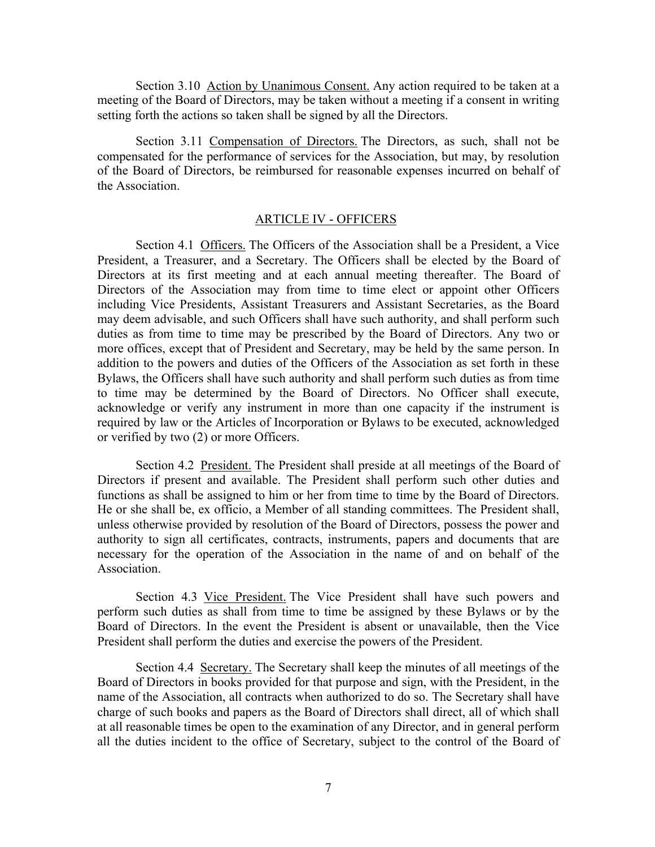Section 3.10 Action by Unanimous Consent. Any action required to be taken at a meeting of the Board of Directors, may be taken without a meeting if a consent in writing setting forth the actions so taken shall be signed by all the Directors.

Section 3.11 Compensation of Directors. The Directors, as such, shall not be compensated for the performance of services for the Association, but may, by resolution of the Board of Directors, be reimbursed for reasonable expenses incurred on behalf of the Association.

#### ARTICLE IV - OFFICERS

Section 4.1 Officers. The Officers of the Association shall be a President, a Vice President, a Treasurer, and a Secretary. The Officers shall be elected by the Board of Directors at its first meeting and at each annual meeting thereafter. The Board of Directors of the Association may from time to time elect or appoint other Officers including Vice Presidents, Assistant Treasurers and Assistant Secretaries, as the Board may deem advisable, and such Officers shall have such authority, and shall perform such duties as from time to time may be prescribed by the Board of Directors. Any two or more offices, except that of President and Secretary, may be held by the same person. In addition to the powers and duties of the Officers of the Association as set forth in these Bylaws, the Officers shall have such authority and shall perform such duties as from time to time may be determined by the Board of Directors. No Officer shall execute, acknowledge or verify any instrument in more than one capacity if the instrument is required by law or the Articles of Incorporation or Bylaws to be executed, acknowledged or verified by two (2) or more Officers.

Section 4.2 President. The President shall preside at all meetings of the Board of Directors if present and available. The President shall perform such other duties and functions as shall be assigned to him or her from time to time by the Board of Directors. He or she shall be, ex officio, a Member of all standing committees. The President shall, unless otherwise provided by resolution of the Board of Directors, possess the power and authority to sign all certificates, contracts, instruments, papers and documents that are necessary for the operation of the Association in the name of and on behalf of the Association.

Section 4.3 Vice President. The Vice President shall have such powers and perform such duties as shall from time to time be assigned by these Bylaws or by the Board of Directors. In the event the President is absent or unavailable, then the Vice President shall perform the duties and exercise the powers of the President.

Section 4.4 Secretary. The Secretary shall keep the minutes of all meetings of the Board of Directors in books provided for that purpose and sign, with the President, in the name of the Association, all contracts when authorized to do so. The Secretary shall have charge of such books and papers as the Board of Directors shall direct, all of which shall at all reasonable times be open to the examination of any Director, and in general perform all the duties incident to the office of Secretary, subject to the control of the Board of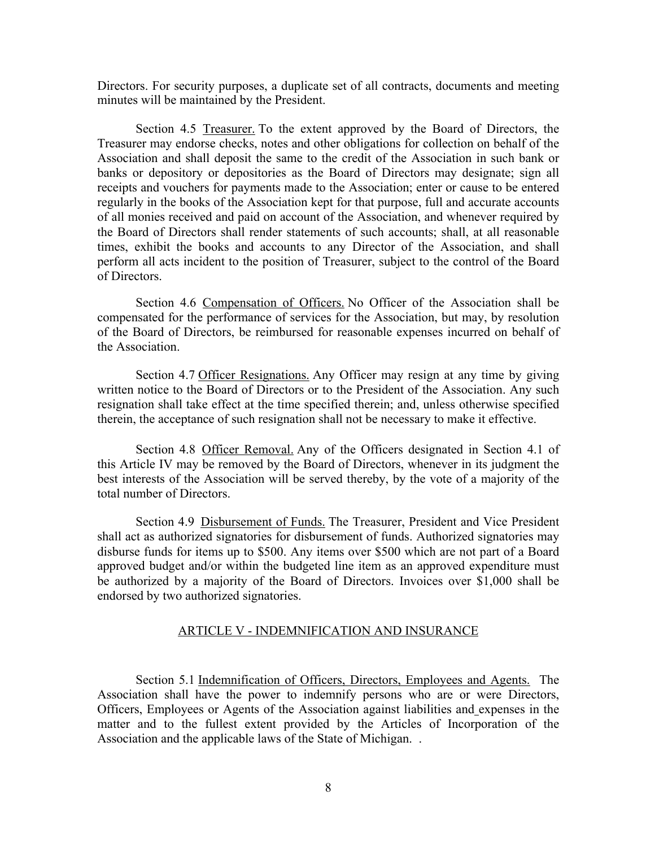Directors. For security purposes, a duplicate set of all contracts, documents and meeting minutes will be maintained by the President.

Section 4.5 Treasurer. To the extent approved by the Board of Directors, the Treasurer may endorse checks, notes and other obligations for collection on behalf of the Association and shall deposit the same to the credit of the Association in such bank or banks or depository or depositories as the Board of Directors may designate; sign all receipts and vouchers for payments made to the Association; enter or cause to be entered regularly in the books of the Association kept for that purpose, full and accurate accounts of all monies received and paid on account of the Association, and whenever required by the Board of Directors shall render statements of such accounts; shall, at all reasonable times, exhibit the books and accounts to any Director of the Association, and shall perform all acts incident to the position of Treasurer, subject to the control of the Board of Directors.

Section 4.6 Compensation of Officers. No Officer of the Association shall be compensated for the performance of services for the Association, but may, by resolution of the Board of Directors, be reimbursed for reasonable expenses incurred on behalf of the Association.

Section 4.7 Officer Resignations. Any Officer may resign at any time by giving written notice to the Board of Directors or to the President of the Association. Any such resignation shall take effect at the time specified therein; and, unless otherwise specified therein, the acceptance of such resignation shall not be necessary to make it effective.

Section 4.8 Officer Removal. Any of the Officers designated in Section 4.1 of this Article IV may be removed by the Board of Directors, whenever in its judgment the best interests of the Association will be served thereby, by the vote of a majority of the total number of Directors.

Section 4.9 Disbursement of Funds. The Treasurer, President and Vice President shall act as authorized signatories for disbursement of funds. Authorized signatories may disburse funds for items up to \$500. Any items over \$500 which are not part of a Board approved budget and/or within the budgeted line item as an approved expenditure must be authorized by a majority of the Board of Directors. Invoices over \$1,000 shall be endorsed by two authorized signatories.

#### ARTICLE V - INDEMNIFICATION AND INSURANCE

Section 5.1 Indemnification of Officers, Directors, Employees and Agents. The Association shall have the power to indemnify persons who are or were Directors, Officers, Employees or Agents of the Association against liabilities and expenses in the matter and to the fullest extent provided by the Articles of Incorporation of the Association and the applicable laws of the State of Michigan. .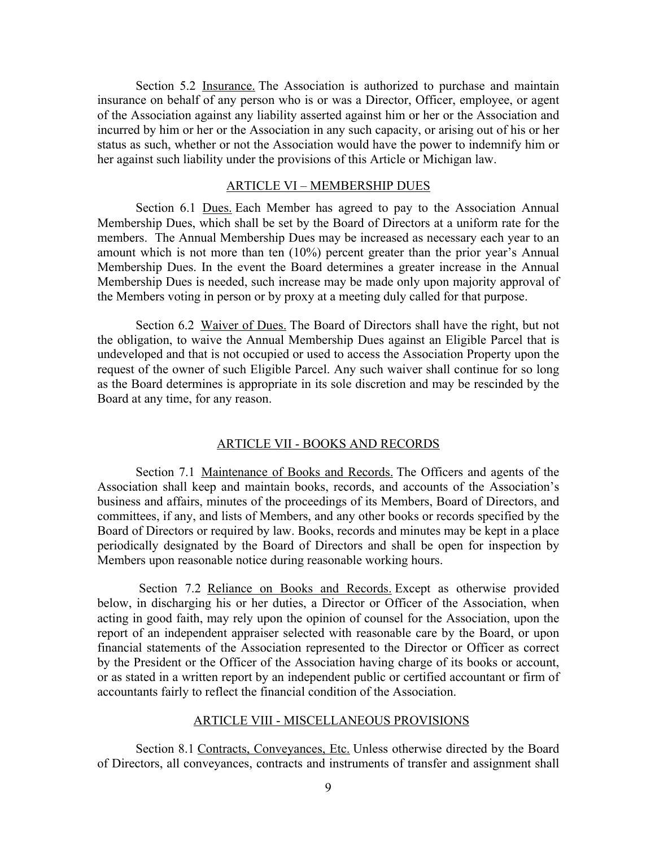Section 5.2 Insurance. The Association is authorized to purchase and maintain insurance on behalf of any person who is or was a Director, Officer, employee, or agent of the Association against any liability asserted against him or her or the Association and incurred by him or her or the Association in any such capacity, or arising out of his or her status as such, whether or not the Association would have the power to indemnify him or her against such liability under the provisions of this Article or Michigan law.

#### ARTICLE VI – MEMBERSHIP DUES

Section 6.1 Dues. Each Member has agreed to pay to the Association Annual Membership Dues, which shall be set by the Board of Directors at a uniform rate for the members. The Annual Membership Dues may be increased as necessary each year to an amount which is not more than ten (10%) percent greater than the prior year's Annual Membership Dues. In the event the Board determines a greater increase in the Annual Membership Dues is needed, such increase may be made only upon majority approval of the Members voting in person or by proxy at a meeting duly called for that purpose.

Section 6.2 Waiver of Dues. The Board of Directors shall have the right, but not the obligation, to waive the Annual Membership Dues against an Eligible Parcel that is undeveloped and that is not occupied or used to access the Association Property upon the request of the owner of such Eligible Parcel. Any such waiver shall continue for so long as the Board determines is appropriate in its sole discretion and may be rescinded by the Board at any time, for any reason.

#### ARTICLE VII - BOOKS AND RECORDS

Section 7.1 Maintenance of Books and Records. The Officers and agents of the Association shall keep and maintain books, records, and accounts of the Association's business and affairs, minutes of the proceedings of its Members, Board of Directors, and committees, if any, and lists of Members, and any other books or records specified by the Board of Directors or required by law. Books, records and minutes may be kept in a place periodically designated by the Board of Directors and shall be open for inspection by Members upon reasonable notice during reasonable working hours.

Section 7.2 Reliance on Books and Records. Except as otherwise provided below, in discharging his or her duties, a Director or Officer of the Association, when acting in good faith, may rely upon the opinion of counsel for the Association, upon the report of an independent appraiser selected with reasonable care by the Board, or upon financial statements of the Association represented to the Director or Officer as correct by the President or the Officer of the Association having charge of its books or account, or as stated in a written report by an independent public or certified accountant or firm of accountants fairly to reflect the financial condition of the Association.

#### ARTICLE VIII - MISCELLANEOUS PROVISIONS

Section 8.1 Contracts, Conveyances, Etc. Unless otherwise directed by the Board of Directors, all conveyances, contracts and instruments of transfer and assignment shall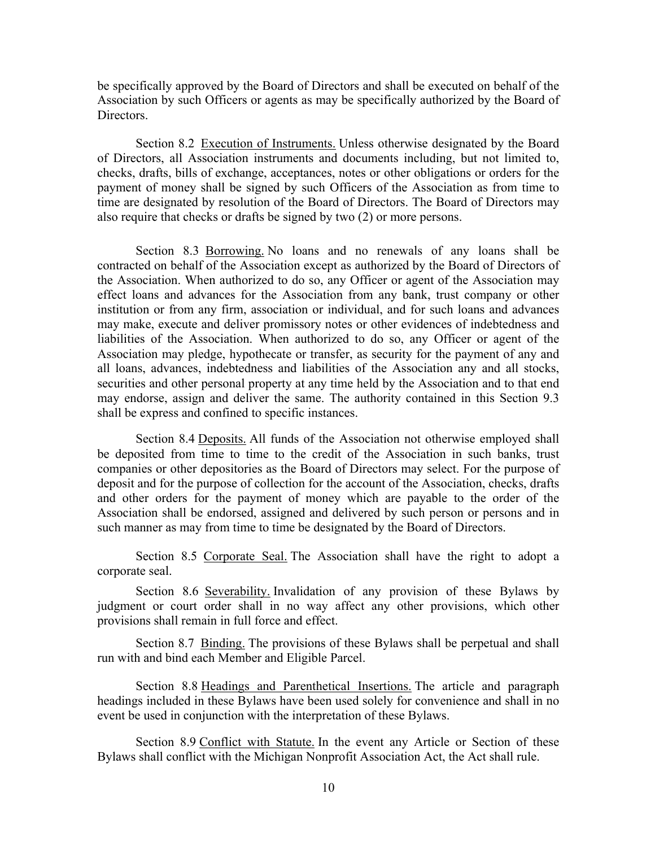be specifically approved by the Board of Directors and shall be executed on behalf of the Association by such Officers or agents as may be specifically authorized by the Board of Directors.

Section 8.2 Execution of Instruments. Unless otherwise designated by the Board of Directors, all Association instruments and documents including, but not limited to, checks, drafts, bills of exchange, acceptances, notes or other obligations or orders for the payment of money shall be signed by such Officers of the Association as from time to time are designated by resolution of the Board of Directors. The Board of Directors may also require that checks or drafts be signed by two (2) or more persons.

Section 8.3 Borrowing. No loans and no renewals of any loans shall be contracted on behalf of the Association except as authorized by the Board of Directors of the Association. When authorized to do so, any Officer or agent of the Association may effect loans and advances for the Association from any bank, trust company or other institution or from any firm, association or individual, and for such loans and advances may make, execute and deliver promissory notes or other evidences of indebtedness and liabilities of the Association. When authorized to do so, any Officer or agent of the Association may pledge, hypothecate or transfer, as security for the payment of any and all loans, advances, indebtedness and liabilities of the Association any and all stocks, securities and other personal property at any time held by the Association and to that end may endorse, assign and deliver the same. The authority contained in this Section 9.3 shall be express and confined to specific instances.

Section 8.4 Deposits. All funds of the Association not otherwise employed shall be deposited from time to time to the credit of the Association in such banks, trust companies or other depositories as the Board of Directors may select. For the purpose of deposit and for the purpose of collection for the account of the Association, checks, drafts and other orders for the payment of money which are payable to the order of the Association shall be endorsed, assigned and delivered by such person or persons and in such manner as may from time to time be designated by the Board of Directors.

Section 8.5 Corporate Seal. The Association shall have the right to adopt a corporate seal.

Section 8.6 Severability. Invalidation of any provision of these Bylaws by judgment or court order shall in no way affect any other provisions, which other provisions shall remain in full force and effect.

Section 8.7 Binding. The provisions of these Bylaws shall be perpetual and shall run with and bind each Member and Eligible Parcel.

Section 8.8 Headings and Parenthetical Insertions. The article and paragraph headings included in these Bylaws have been used solely for convenience and shall in no event be used in conjunction with the interpretation of these Bylaws.

Section 8.9 Conflict with Statute. In the event any Article or Section of these Bylaws shall conflict with the Michigan Nonprofit Association Act, the Act shall rule.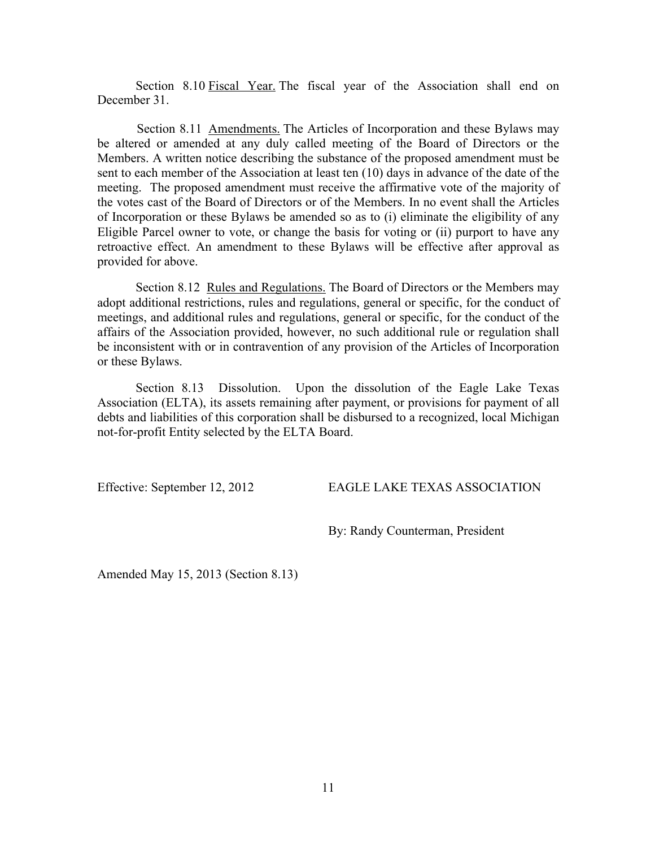Section 8.10 Fiscal Year. The fiscal year of the Association shall end on December 31.

Section 8.11 <u>Amendments.</u> The Articles of Incorporation and these Bylaws may be altered or amended at any duly called meeting of the Board of Directors or the Members. A written notice describing the substance of the proposed amendment must be sent to each member of the Association at least ten (10) days in advance of the date of the meeting. The proposed amendment must receive the affirmative vote of the majority of the votes cast of the Board of Directors or of the Members. In no event shall the Articles of Incorporation or these Bylaws be amended so as to (i) eliminate the eligibility of any Eligible Parcel owner to vote, or change the basis for voting or (ii) purport to have any retroactive effect. An amendment to these Bylaws will be effective after approval as provided for above.

Section 8.12 <u>Rules and Regulations.</u> The Board of Directors or the Members may adopt additional restrictions, rules and regulations, general or specific, for the conduct of meetings, and additional rules and regulations, general or specific, for the conduct of the affairs of the Association provided, however, no such additional rule or regulation shall be inconsistent with or in contravention of any provision of the Articles of Incorporation or these Bylaws.

Section 8.13 Dissolution. Upon the dissolution of the Eagle Lake Texas Association (ELTA), its assets remaining after payment, or provisions for payment of all debts and liabilities of this corporation shall be disbursed to a recognized, local Michigan not-for-profit Entity selected by the ELTA Board.

Effective: September 12, 2012 EAGLE LAKE TEXAS ASSOCIATION

By: Randy Counterman, President

Amended May 15, 2013 (Section 8.13)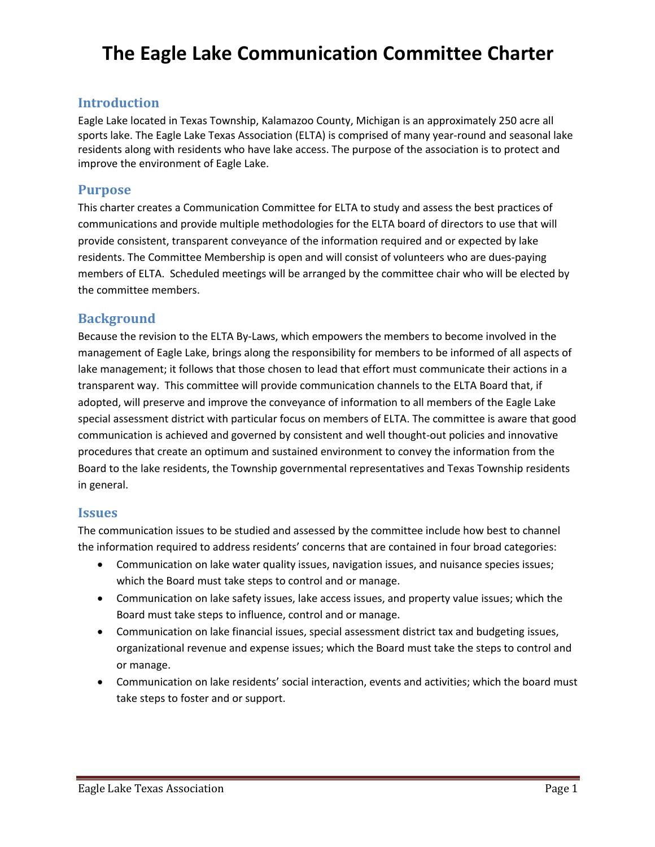## **The Eagle Lake Communication Committee Charter**

### **Introduction**

Eagle Lake located in Texas Township, Kalamazoo County, Michigan is an approximately 250 acre all sports lake. The Eagle Lake Texas Association (ELTA) is comprised of many year-round and seasonal lake residents along with residents who have lake access. The purpose of the association is to protect and improve the environment of Eagle Lake.

### **Purpose**

This charter creates a Communication Committee for ELTA to study and assess the best practices of communications and provide multiple methodologies for the ELTA board of directors to use that will provide consistent, transparent conveyance of the information required and or expected by lake residents. The Committee Membership is open and will consist of volunteers who are dues-paying members of ELTA. Scheduled meetings will be arranged by the committee chair who will be elected by the committee members.

### **Background**

Because the revision to the ELTA By-Laws, which empowers the members to become involved in the management of Eagle Lake, brings along the responsibility for members to be informed of all aspects of lake management; it follows that those chosen to lead that effort must communicate their actions in a transparent way. This committee will provide communication channels to the ELTA Board that, if adopted, will preserve and improve the conveyance of information to all members of the Eagle Lake special assessment district with particular focus on members of ELTA. The committee is aware that good communication is achieved and governed by consistent and well thought-out policies and innovative procedures that create an optimum and sustained environment to convey the information from the Board to the lake residents, the Township governmental representatives and Texas Township residents in general.

### **Issues**

The communication issues to be studied and assessed by the committee include how best to channel the information required to address residents' concerns that are contained in four broad categories:

- Communication on lake water quality issues, navigation issues, and nuisance species issues; which the Board must take steps to control and or manage.
- Communication on lake safety issues, lake access issues, and property value issues; which the Board must take steps to influence, control and or manage.
- Communication on lake financial issues, special assessment district tax and budgeting issues, organizational revenue and expense issues; which the Board must take the steps to control and or manage.
- Communication on lake residents' social interaction, events and activities; which the board must take steps to foster and or support.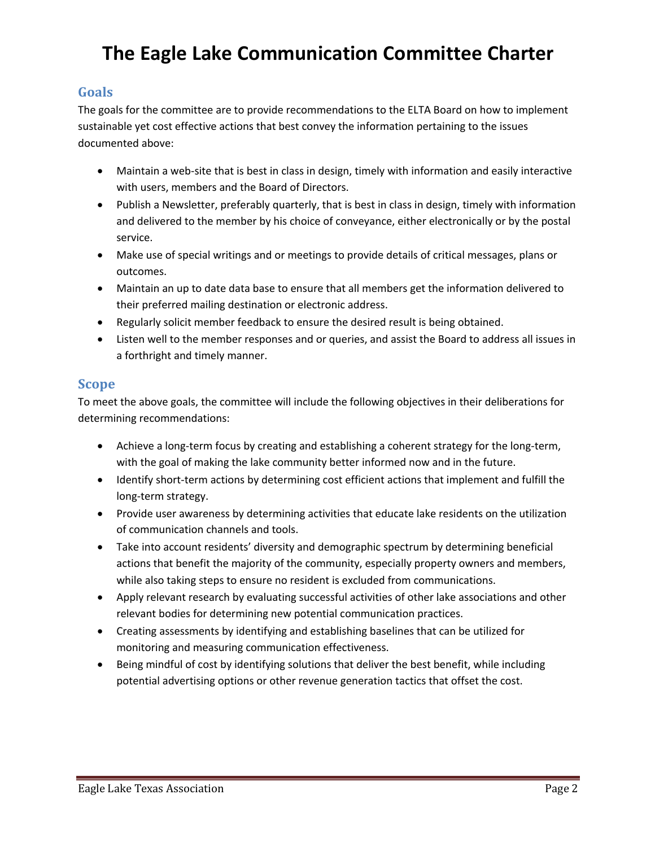# **The Eagle Lake Communication Committee Charter**

### **Goals**

The goals for the committee are to provide recommendations to the ELTA Board on how to implement sustainable yet cost effective actions that best convey the information pertaining to the issues documented above:

- Maintain a web-site that is best in class in design, timely with information and easily interactive with users, members and the Board of Directors.
- Publish a Newsletter, preferably quarterly, that is best in class in design, timely with information and delivered to the member by his choice of conveyance, either electronically or by the postal service.
- Make use of special writings and or meetings to provide details of critical messages, plans or outcomes.
- Maintain an up to date data base to ensure that all members get the information delivered to their preferred mailing destination or electronic address.
- Regularly solicit member feedback to ensure the desired result is being obtained.
- Listen well to the member responses and or queries, and assist the Board to address all issues in a forthright and timely manner.

### **Scope**

To meet the above goals, the committee will include the following objectives in their deliberations for determining recommendations:

- Achieve a long-term focus by creating and establishing a coherent strategy for the long-term, with the goal of making the lake community better informed now and in the future.
- Identify short-term actions by determining cost efficient actions that implement and fulfill the long-term strategy.
- Provide user awareness by determining activities that educate lake residents on the utilization of communication channels and tools.
- Take into account residents' diversity and demographic spectrum by determining beneficial actions that benefit the majority of the community, especially property owners and members, while also taking steps to ensure no resident is excluded from communications.
- Apply relevant research by evaluating successful activities of other lake associations and other relevant bodies for determining new potential communication practices.
- Creating assessments by identifying and establishing baselines that can be utilized for monitoring and measuring communication effectiveness.
- Being mindful of cost by identifying solutions that deliver the best benefit, while including potential advertising options or other revenue generation tactics that offset the cost.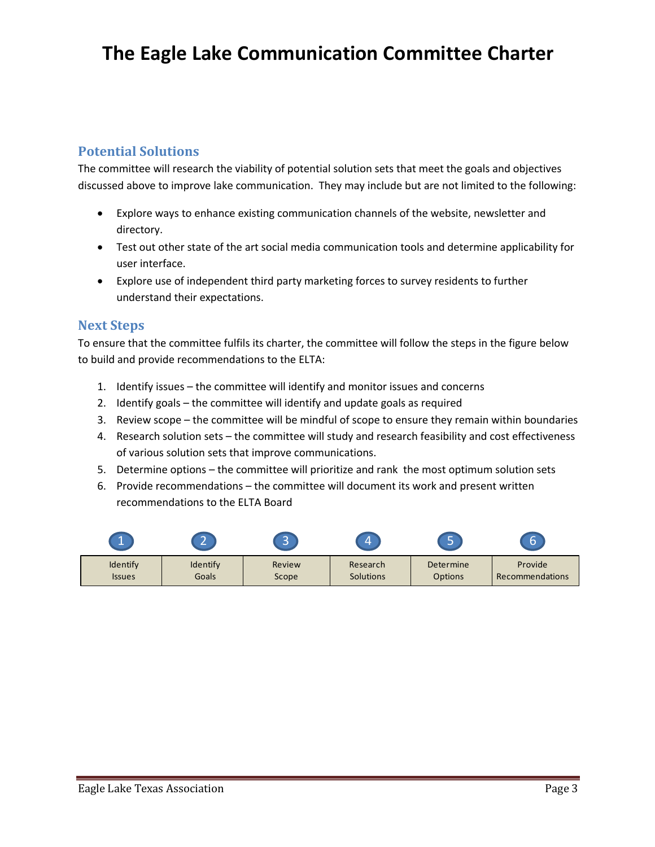## **The Eagle Lake Communication Committee Charter**

## **Potential Solutions**

The committee will research the viability of potential solution sets that meet the goals and objectives discussed above to improve lake communication. They may include but are not limited to the following:

- Explore ways to enhance existing communication channels of the website, newsletter and directory.
- Test out other state of the art social media communication tools and determine applicability for user interface.
- Explore use of independent third party marketing forces to survey residents to further understand their expectations.

## **Next Steps**

To ensure that the committee fulfils its charter, the committee will follow the steps in the figure below to build and provide recommendations to the ELTA:

- 1. Identify issues the committee will identify and monitor issues and concerns
- 2. Identify goals the committee will identify and update goals as required
- 3. Review scope the committee will be mindful of scope to ensure they remain within boundaries
- 4. Research solution sets the committee will study and research feasibility and cost effectiveness of various solution sets that improve communications.
- 5. Determine options the committee will prioritize and rank the most optimum solution sets
- 6. Provide recommendations the committee will document its work and present written recommendations to the ELTA Board

| <b>ALL</b>    | $\sim$<br><u>_</u> | ÷<br>- |           |           | b                      |
|---------------|--------------------|--------|-----------|-----------|------------------------|
| Identify      | Identify           | Review | Research  | Determine | Provide                |
| <b>Issues</b> | Goals              | Scope  | Solutions | Options   | <b>Recommendations</b> |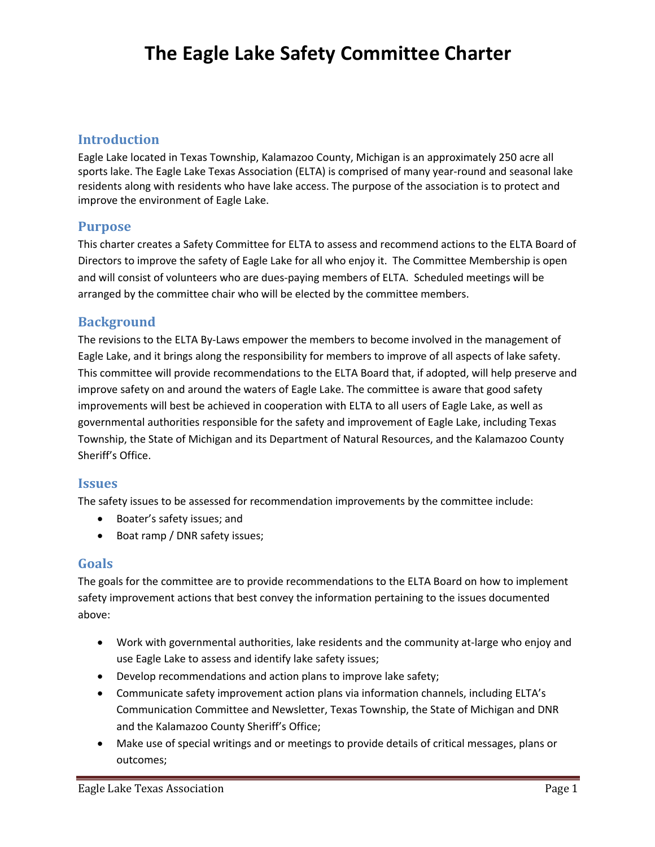# **The Eagle Lake Safety Committee Charter**

### **Introduction**

Eagle Lake located in Texas Township, Kalamazoo County, Michigan is an approximately 250 acre all sports lake. The Eagle Lake Texas Association (ELTA) is comprised of many year-round and seasonal lake residents along with residents who have lake access. The purpose of the association is to protect and improve the environment of Eagle Lake.

### **Purpose**

This charter creates a Safety Committee for ELTA to assess and recommend actions to the ELTA Board of Directors to improve the safety of Eagle Lake for all who enjoy it. The Committee Membership is open and will consist of volunteers who are dues-paying members of ELTA. Scheduled meetings will be arranged by the committee chair who will be elected by the committee members.

## **Background**

The revisions to the ELTA By-Laws empower the members to become involved in the management of Eagle Lake, and it brings along the responsibility for members to improve of all aspects of lake safety. This committee will provide recommendations to the ELTA Board that, if adopted, will help preserve and improve safety on and around the waters of Eagle Lake. The committee is aware that good safety improvements will best be achieved in cooperation with ELTA to all users of Eagle Lake, as well as governmental authorities responsible for the safety and improvement of Eagle Lake, including Texas Township, the State of Michigan and its Department of Natural Resources, and the Kalamazoo County Sheriff's Office.

### **Issues**

The safety issues to be assessed for recommendation improvements by the committee include:

- Boater's safety issues; and
- Boat ramp / DNR safety issues;

### **Goals**

The goals for the committee are to provide recommendations to the ELTA Board on how to implement safety improvement actions that best convey the information pertaining to the issues documented above:

- Work with governmental authorities, lake residents and the community at-large who enjoy and use Eagle Lake to assess and identify lake safety issues;
- Develop recommendations and action plans to improve lake safety;
- Communicate safety improvement action plans via information channels, including ELTA's Communication Committee and Newsletter, Texas Township, the State of Michigan and DNR and the Kalamazoo County Sheriff's Office;
- Make use of special writings and or meetings to provide details of critical messages, plans or outcomes;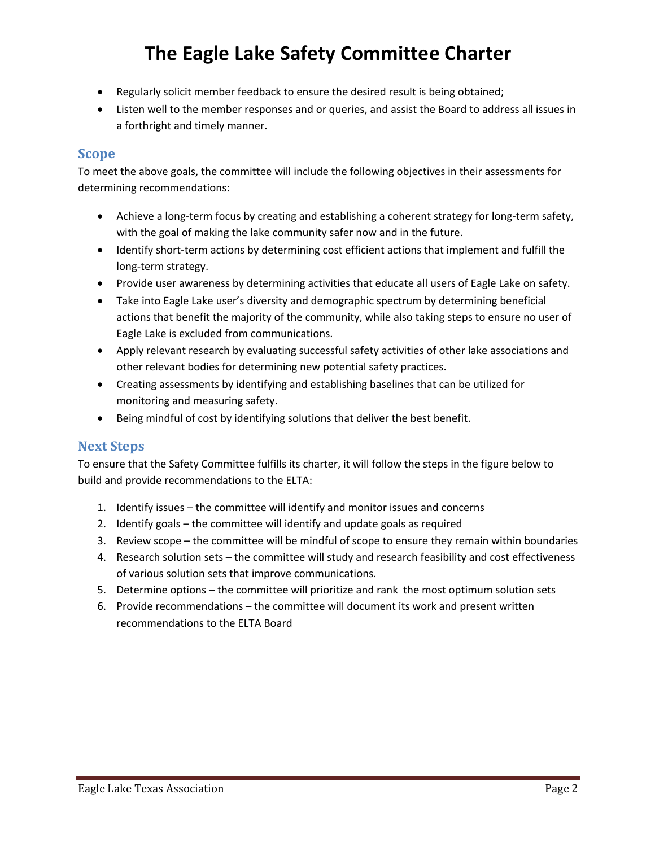# **The Eagle Lake Safety Committee Charter**

- Regularly solicit member feedback to ensure the desired result is being obtained;
- Listen well to the member responses and or queries, and assist the Board to address all issues in a forthright and timely manner.

### **Scope**

To meet the above goals, the committee will include the following objectives in their assessments for determining recommendations:

- Achieve a long-term focus by creating and establishing a coherent strategy for long-term safety, with the goal of making the lake community safer now and in the future.
- Identify short-term actions by determining cost efficient actions that implement and fulfill the long-term strategy.
- Provide user awareness by determining activities that educate all users of Eagle Lake on safety.
- Take into Eagle Lake user's diversity and demographic spectrum by determining beneficial actions that benefit the majority of the community, while also taking steps to ensure no user of Eagle Lake is excluded from communications.
- Apply relevant research by evaluating successful safety activities of other lake associations and other relevant bodies for determining new potential safety practices.
- Creating assessments by identifying and establishing baselines that can be utilized for monitoring and measuring safety.
- Being mindful of cost by identifying solutions that deliver the best benefit.

### **Next Steps**

To ensure that the Safety Committee fulfills its charter, it will follow the steps in the figure below to build and provide recommendations to the ELTA:

- 1. Identify issues the committee will identify and monitor issues and concerns
- 2. Identify goals the committee will identify and update goals as required
- 3. Review scope the committee will be mindful of scope to ensure they remain within boundaries
- 4. Research solution sets the committee will study and research feasibility and cost effectiveness of various solution sets that improve communications.
- 5. Determine options the committee will prioritize and rank the most optimum solution sets
- 6. Provide recommendations the committee will document its work and present written recommendations to the ELTA Board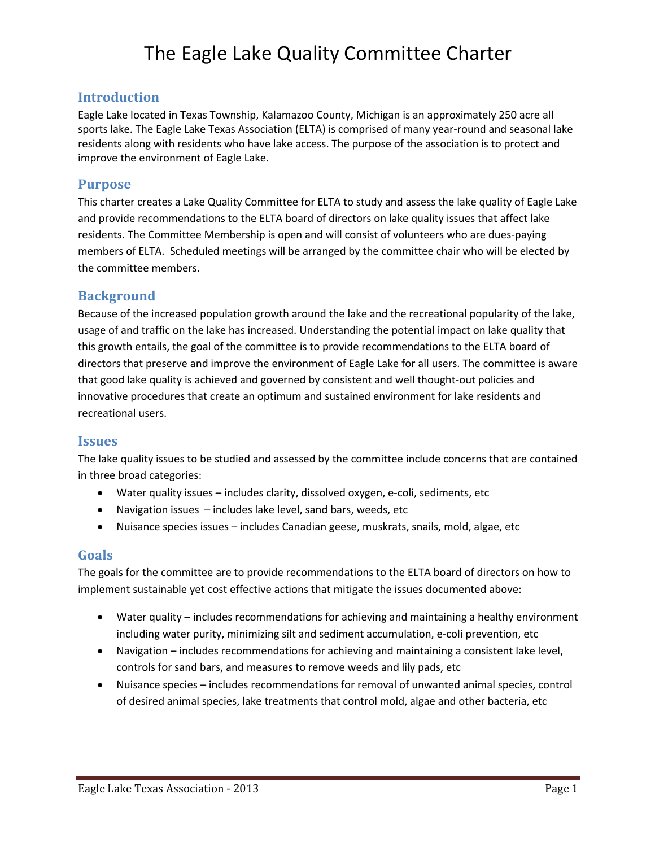# The Eagle Lake Quality Committee Charter

### **Introduction**

Eagle Lake located in Texas Township, Kalamazoo County, Michigan is an approximately 250 acre all sports lake. The Eagle Lake Texas Association (ELTA) is comprised of many year-round and seasonal lake residents along with residents who have lake access. The purpose of the association is to protect and improve the environment of Eagle Lake.

### **Purpose**

This charter creates a Lake Quality Committee for ELTA to study and assess the lake quality of Eagle Lake and provide recommendations to the ELTA board of directors on lake quality issues that affect lake residents. The Committee Membership is open and will consist of volunteers who are dues-paying members of ELTA. Scheduled meetings will be arranged by the committee chair who will be elected by the committee members.

### **Background**

Because of the increased population growth around the lake and the recreational popularity of the lake, usage of and traffic on the lake has increased. Understanding the potential impact on lake quality that this growth entails, the goal of the committee is to provide recommendations to the ELTA board of directors that preserve and improve the environment of Eagle Lake for all users. The committee is aware that good lake quality is achieved and governed by consistent and well thought-out policies and innovative procedures that create an optimum and sustained environment for lake residents and recreational users.

### **Issues**

The lake quality issues to be studied and assessed by the committee include concerns that are contained in three broad categories:

- Water quality issues includes clarity, dissolved oxygen, e-coli, sediments, etc
- Navigation issues includes lake level, sand bars, weeds, etc
- Nuisance species issues includes Canadian geese, muskrats, snails, mold, algae, etc

### **Goals**

The goals for the committee are to provide recommendations to the ELTA board of directors on how to implement sustainable yet cost effective actions that mitigate the issues documented above:

- Water quality includes recommendations for achieving and maintaining a healthy environment including water purity, minimizing silt and sediment accumulation, e-coli prevention, etc
- Navigation includes recommendations for achieving and maintaining a consistent lake level, controls for sand bars, and measures to remove weeds and lily pads, etc
- Nuisance species includes recommendations for removal of unwanted animal species, control of desired animal species, lake treatments that control mold, algae and other bacteria, etc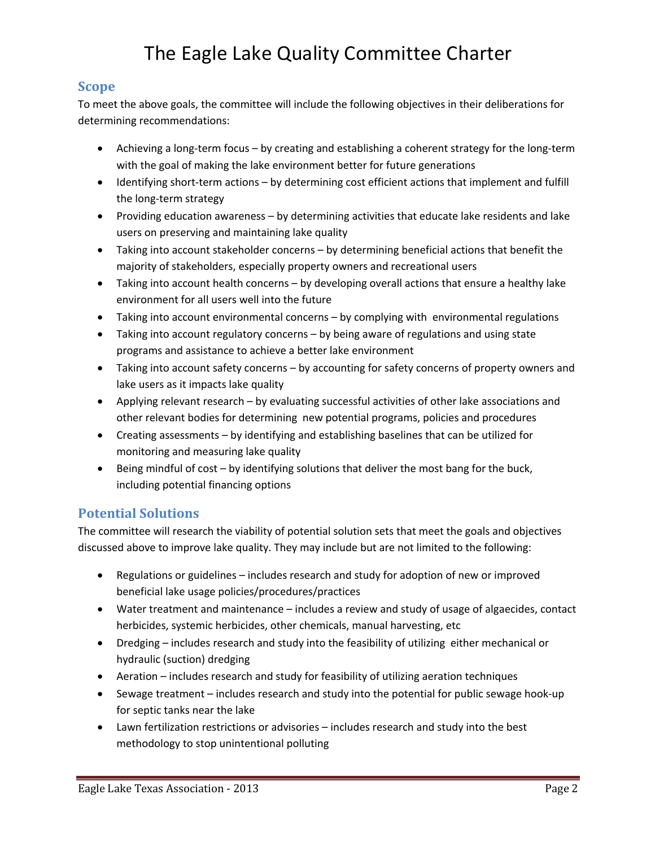# The Eagle Lake Quality Committee Charter

### **Scope**

To meet the above goals, the committee will include the following objectives in their deliberations for determining recommendations:

- Achieving a long-term focus by creating and establishing a coherent strategy for the long-term with the goal of making the lake environment better for future generations
- Identifying short-term actions by determining cost efficient actions that implement and fulfill the long-term strategy
- Providing education awareness by determining activities that educate lake residents and lake users on preserving and maintaining lake quality
- Taking into account stakeholder concerns by determining beneficial actions that benefit the majority of stakeholders, especially property owners and recreational users
- Taking into account health concerns by developing overall actions that ensure a healthy lake environment for all users well into the future
- Taking into account environmental concerns by complying with environmental regulations
- Taking into account regulatory concerns by being aware of regulations and using state programs and assistance to achieve a better lake environment
- Taking into account safety concerns by accounting for safety concerns of property owners and lake users as it impacts lake quality
- Applying relevant research by evaluating successful activities of other lake associations and other relevant bodies for determining new potential programs, policies and procedures
- Creating assessments by identifying and establishing baselines that can be utilized for monitoring and measuring lake quality
- Being mindful of cost by identifying solutions that deliver the most bang for the buck, including potential financing options

## **Potential Solutions**

The committee will research the viability of potential solution sets that meet the goals and objectives discussed above to improve lake quality. They may include but are not limited to the following:

- Regulations or guidelines includes research and study for adoption of new or improved beneficial lake usage policies/procedures/practices
- Water treatment and maintenance includes a review and study of usage of algaecides, contact herbicides, systemic herbicides, other chemicals, manual harvesting, etc
- Dredging includes research and study into the feasibility of utilizing either mechanical or hydraulic (suction) dredging
- Aeration includes research and study for feasibility of utilizing aeration techniques
- Sewage treatment includes research and study into the potential for public sewage hook-up for septic tanks near the lake
- Lawn fertilization restrictions or advisories includes research and study into the best methodology to stop unintentional polluting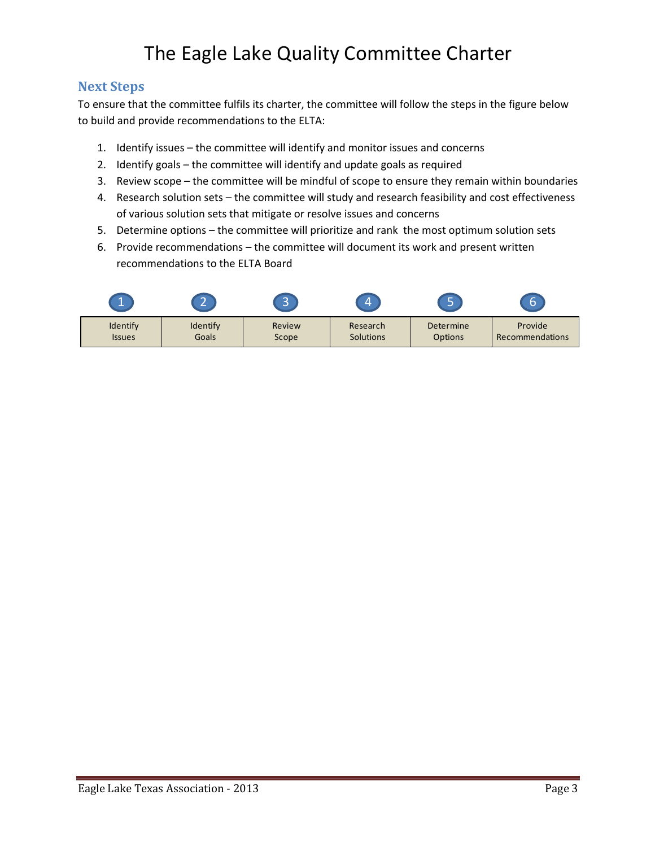# The Eagle Lake Quality Committee Charter

## **Next Steps**

To ensure that the committee fulfils its charter, the committee will follow the steps in the figure below to build and provide recommendations to the ELTA:

- 1. Identify issues the committee will identify and monitor issues and concerns
- 2. Identify goals the committee will identify and update goals as required
- 3. Review scope the committee will be mindful of scope to ensure they remain within boundaries
- 4. Research solution sets the committee will study and research feasibility and cost effectiveness of various solution sets that mitigate or resolve issues and concerns
- 5. Determine options the committee will prioritize and rank the most optimum solution sets
- 6. Provide recommendations the committee will document its work and present written recommendations to the ELTA Board

|               | <b>AV</b><br>-- | $\sim$<br><b>CONTRACT</b> | Ľ                | c         |                 |
|---------------|-----------------|---------------------------|------------------|-----------|-----------------|
| Identify      | Identify        | Review                    | Research         | Determine | Provide         |
| <b>Issues</b> | Goals           | Scope                     | <b>Solutions</b> | Options   | Recommendations |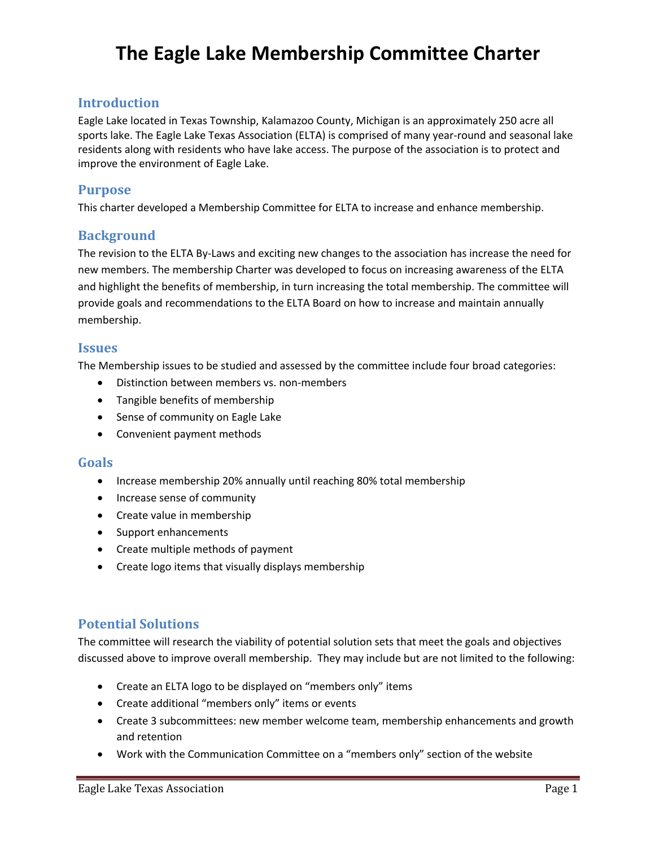## **The Eagle Lake Membership Committee Charter**

### **Introduction**

Eagle Lake located in Texas Township, Kalamazoo County, Michigan is an approximately 250 acre all sports lake. The Eagle Lake Texas Association (ELTA) is comprised of many year-round and seasonal lake residents along with residents who have lake access. The purpose of the association is to protect and improve the environment of Eagle Lake.

### **Purpose**

This charter developed a Membership Committee for ELTA to increase and enhance membership.

### **Background**

The revision to the ELTA By-Laws and exciting new changes to the association has increase the need for new members. The membership Charter was developed to focus on increasing awareness of the ELTA and highlight the benefits of membership, in turn increasing the total membership. The committee will provide goals and recommendations to the ELTA Board on how to increase and maintain annually membership.

### **Issues**

The Membership issues to be studied and assessed by the committee include four broad categories:

- Distinction between members vs. non-members
- Tangible benefits of membership
- Sense of community on Eagle Lake
- Convenient payment methods

### **Goals**

- Increase membership 20% annually until reaching 80% total membership
- Increase sense of community
- Create value in membership
- Support enhancements
- Create multiple methods of payment
- Create logo items that visually displays membership

### **Potential Solutions**

The committee will research the viability of potential solution sets that meet the goals and objectives discussed above to improve overall membership. They may include but are not limited to the following:

- Create an ELTA logo to be displayed on "members only" items
- Create additional "members only" items or events
- Create 3 subcommittees: new member welcome team, membership enhancements and growth and retention
- Work with the Communication Committee on a "members only" section of the website